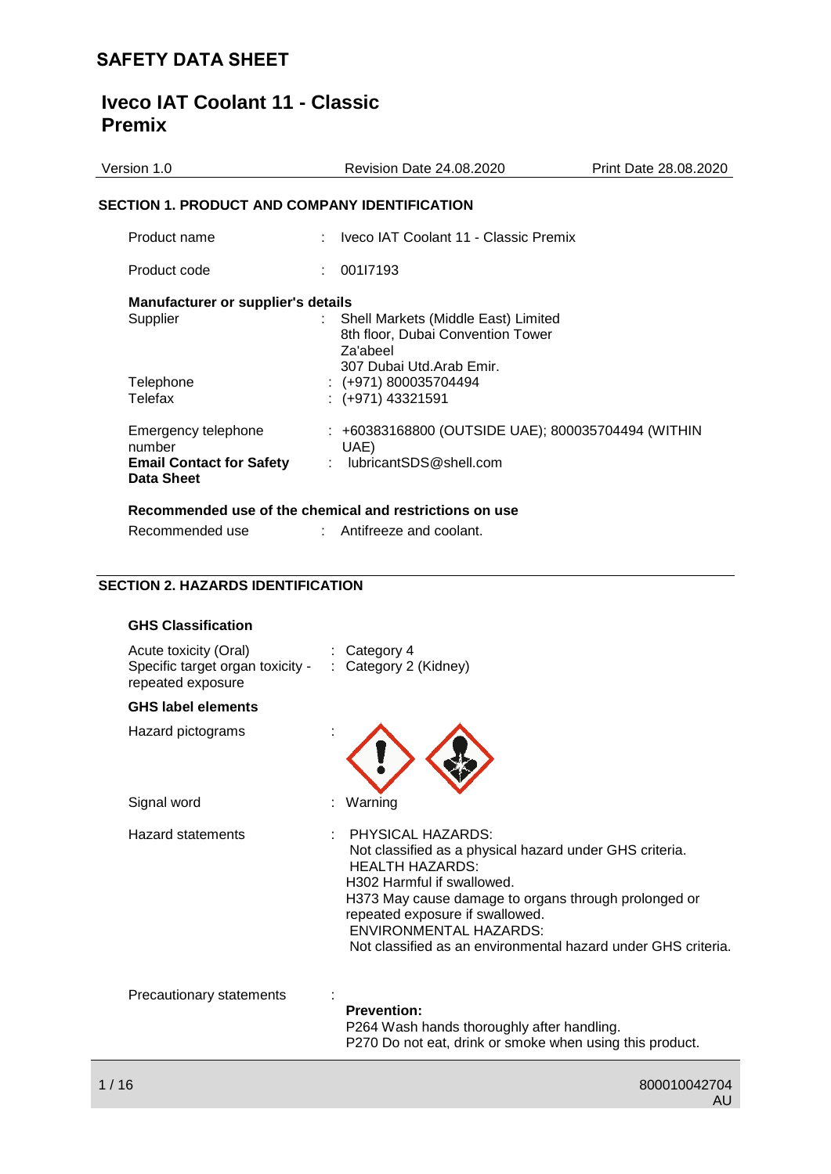## **Iveco IAT Coolant 11 - Classic Premix**

| Version 1.0                                                                    | Revision Date 24.08.2020                                                                                         | Print Date 28.08.2020 |
|--------------------------------------------------------------------------------|------------------------------------------------------------------------------------------------------------------|-----------------------|
| <b>SECTION 1. PRODUCT AND COMPANY IDENTIFICATION</b>                           |                                                                                                                  |                       |
| Product name                                                                   | : Iveco IAT Coolant 11 - Classic Premix                                                                          |                       |
| Product code                                                                   | 001l7193<br>t.                                                                                                   |                       |
| <b>Manufacturer or supplier's details</b><br>Supplier                          | Shell Markets (Middle East) Limited<br>8th floor, Dubai Convention Tower<br>Za'abeel<br>307 Dubai Utd.Arab Emir. |                       |
| Telephone<br>Telefax                                                           | $: (+971) 800035704494$<br>$:(+971)$ 43321591                                                                    |                       |
| Emergency telephone<br>number<br><b>Email Contact for Safety</b><br>Data Sheet | : +60383168800 (OUTSIDE UAE); 800035704494 (WITHIN<br>UAE)<br>: lubricantSDS@shell.com                           |                       |
| Recommended use                                                                | Recommended use of the chemical and restrictions on use<br>$:$ Antifreeze and coolant.                           |                       |

## **SECTION 2. HAZARDS IDENTIFICATION**

| <b>GHS Classification</b>                                                      |                                                                                                                                                                                                                                                                                                                                               |
|--------------------------------------------------------------------------------|-----------------------------------------------------------------------------------------------------------------------------------------------------------------------------------------------------------------------------------------------------------------------------------------------------------------------------------------------|
| Acute toxicity (Oral)<br>Specific target organ toxicity -<br>repeated exposure | $:$ Category 4<br>: Category 2 (Kidney)                                                                                                                                                                                                                                                                                                       |
| <b>GHS label elements</b>                                                      |                                                                                                                                                                                                                                                                                                                                               |
| Hazard pictograms                                                              |                                                                                                                                                                                                                                                                                                                                               |
| Signal word                                                                    | Warning                                                                                                                                                                                                                                                                                                                                       |
| Hazard statements                                                              | PHYSICAL HAZARDS:<br>Not classified as a physical hazard under GHS criteria.<br><b>HEALTH HAZARDS:</b><br>H <sub>302</sub> Harmful if swallowed.<br>H373 May cause damage to organs through prolonged or<br>repeated exposure if swallowed.<br><b>ENVIRONMENTAL HAZARDS:</b><br>Not classified as an environmental hazard under GHS criteria. |
| Precautionary statements                                                       | <b>Prevention:</b><br>P264 Wash hands thoroughly after handling.<br>P270 Do not eat, drink or smoke when using this product.                                                                                                                                                                                                                  |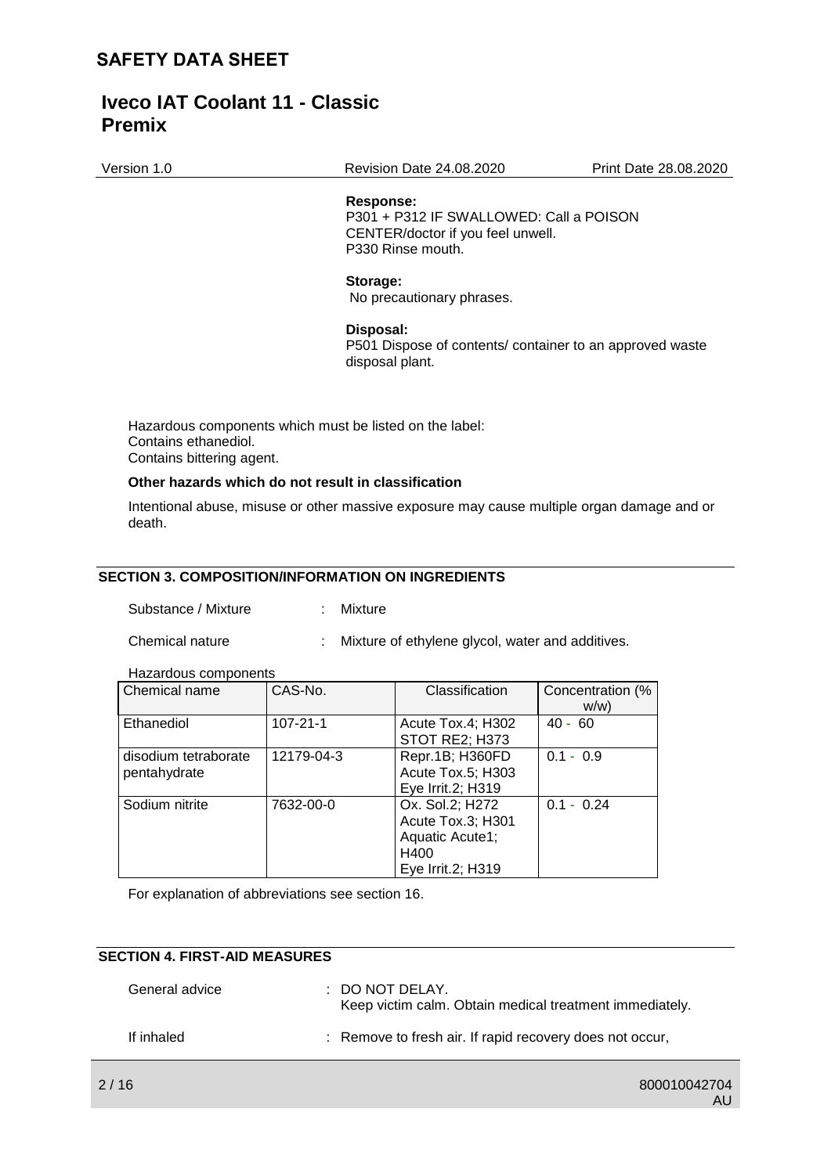Version 1.0 Revision Date 24.08.2020 Print Date 28.08.2020

#### **Response:**

P301 + P312 IF SWALLOWED: Call a POISON CENTER/doctor if you feel unwell. P330 Rinse mouth.

#### **Storage:**

No precautionary phrases.

#### **Disposal:**

P501 Dispose of contents/ container to an approved waste disposal plant.

Hazardous components which must be listed on the label: Contains ethanediol. Contains bittering agent.

### **Other hazards which do not result in classification**

Intentional abuse, misuse or other massive exposure may cause multiple organ damage and or death.

### **SECTION 3. COMPOSITION/INFORMATION ON INGREDIENTS**

Substance / Mixture : Mixture

Chemical nature : Mixture of ethylene glycol, water and additives.

#### Hazardous components

| Chemical name        | CAS-No.        | Classification    | Concentration (% |
|----------------------|----------------|-------------------|------------------|
|                      |                |                   | W/W              |
| Ethanediol           | $107 - 21 - 1$ | Acute Tox.4; H302 | $40 - 60$        |
|                      |                | STOT RE2; H373    |                  |
| disodium tetraborate | 12179-04-3     | Repr.1B; H360FD   | $0.1 - 0.9$      |
| pentahydrate         |                | Acute Tox.5; H303 |                  |
|                      |                | Eye Irrit.2; H319 |                  |
| Sodium nitrite       | 7632-00-0      | Ox. Sol.2; H272   | $0.1 - 0.24$     |
|                      |                | Acute Tox.3; H301 |                  |
|                      |                | Aquatic Acute1;   |                  |
|                      |                | H400              |                  |
|                      |                | Eye Irrit.2; H319 |                  |

For explanation of abbreviations see section 16.

## **SECTION 4. FIRST-AID MEASURES**

| General advice | $\pm$ DO NOT DELAY.<br>Keep victim calm. Obtain medical treatment immediately. |
|----------------|--------------------------------------------------------------------------------|
| If inhaled     | : Remove to fresh air. If rapid recovery does not occur,                       |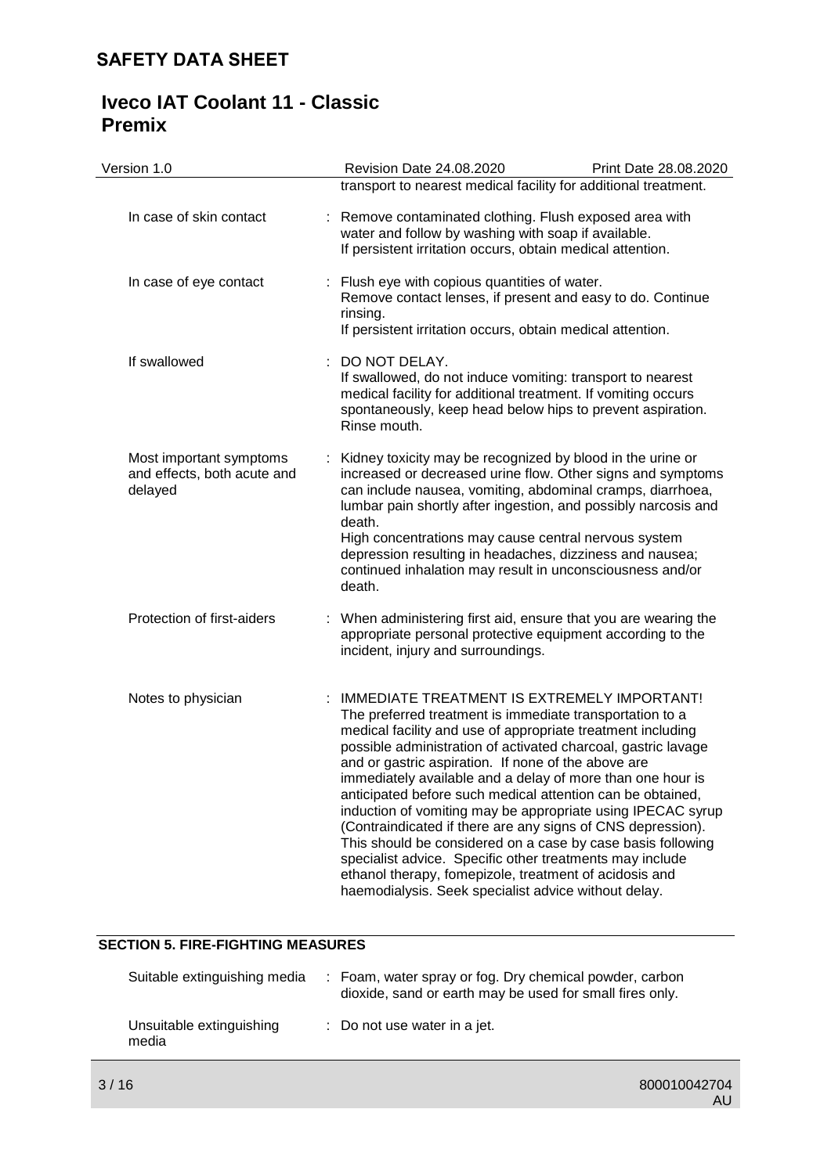# **Iveco IAT Coolant 11 - Classic Premix**

| Version 1.0                                                       | Revision Date 24.08.2020                                                                                                                                                                                                                                                                                                                                                                                                                                                                                                                                                                                                                                                                                                                                                                              | Print Date 28.08.2020                                                                                                                                                                     |  |
|-------------------------------------------------------------------|-------------------------------------------------------------------------------------------------------------------------------------------------------------------------------------------------------------------------------------------------------------------------------------------------------------------------------------------------------------------------------------------------------------------------------------------------------------------------------------------------------------------------------------------------------------------------------------------------------------------------------------------------------------------------------------------------------------------------------------------------------------------------------------------------------|-------------------------------------------------------------------------------------------------------------------------------------------------------------------------------------------|--|
|                                                                   |                                                                                                                                                                                                                                                                                                                                                                                                                                                                                                                                                                                                                                                                                                                                                                                                       | transport to nearest medical facility for additional treatment.                                                                                                                           |  |
| In case of skin contact                                           | Remove contaminated clothing. Flush exposed area with<br>t<br>water and follow by washing with soap if available.<br>If persistent irritation occurs, obtain medical attention.                                                                                                                                                                                                                                                                                                                                                                                                                                                                                                                                                                                                                       |                                                                                                                                                                                           |  |
| In case of eye contact                                            | rinsing.                                                                                                                                                                                                                                                                                                                                                                                                                                                                                                                                                                                                                                                                                                                                                                                              | : Flush eye with copious quantities of water.<br>Remove contact lenses, if present and easy to do. Continue<br>If persistent irritation occurs, obtain medical attention.                 |  |
| If swallowed                                                      | DO NOT DELAY.<br>Rinse mouth.                                                                                                                                                                                                                                                                                                                                                                                                                                                                                                                                                                                                                                                                                                                                                                         | If swallowed, do not induce vomiting: transport to nearest<br>medical facility for additional treatment. If vomiting occurs<br>spontaneously, keep head below hips to prevent aspiration. |  |
| Most important symptoms<br>and effects, both acute and<br>delayed | : Kidney toxicity may be recognized by blood in the urine or<br>increased or decreased urine flow. Other signs and symptoms<br>can include nausea, vomiting, abdominal cramps, diarrhoea,<br>lumbar pain shortly after ingestion, and possibly narcosis and<br>death.<br>High concentrations may cause central nervous system<br>depression resulting in headaches, dizziness and nausea;<br>continued inhalation may result in unconsciousness and/or<br>death.                                                                                                                                                                                                                                                                                                                                      |                                                                                                                                                                                           |  |
| Protection of first-aiders                                        | incident, injury and surroundings.                                                                                                                                                                                                                                                                                                                                                                                                                                                                                                                                                                                                                                                                                                                                                                    | : When administering first aid, ensure that you are wearing the<br>appropriate personal protective equipment according to the                                                             |  |
| Notes to physician                                                | IMMEDIATE TREATMENT IS EXTREMELY IMPORTANT!<br>The preferred treatment is immediate transportation to a<br>medical facility and use of appropriate treatment including<br>possible administration of activated charcoal, gastric lavage<br>and or gastric aspiration. If none of the above are<br>immediately available and a delay of more than one hour is<br>anticipated before such medical attention can be obtained,<br>induction of vomiting may be appropriate using IPECAC syrup<br>(Contraindicated if there are any signs of CNS depression).<br>This should be considered on a case by case basis following<br>specialist advice. Specific other treatments may include<br>ethanol therapy, fomepizole, treatment of acidosis and<br>haemodialysis. Seek specialist advice without delay. |                                                                                                                                                                                           |  |

## **SECTION 5. FIRE-FIGHTING MEASURES**

| Suitable extinguishing media      | : Foam, water spray or fog. Dry chemical powder, carbon<br>dioxide, sand or earth may be used for small fires only. |
|-----------------------------------|---------------------------------------------------------------------------------------------------------------------|
| Unsuitable extinguishing<br>media | : Do not use water in a jet.                                                                                        |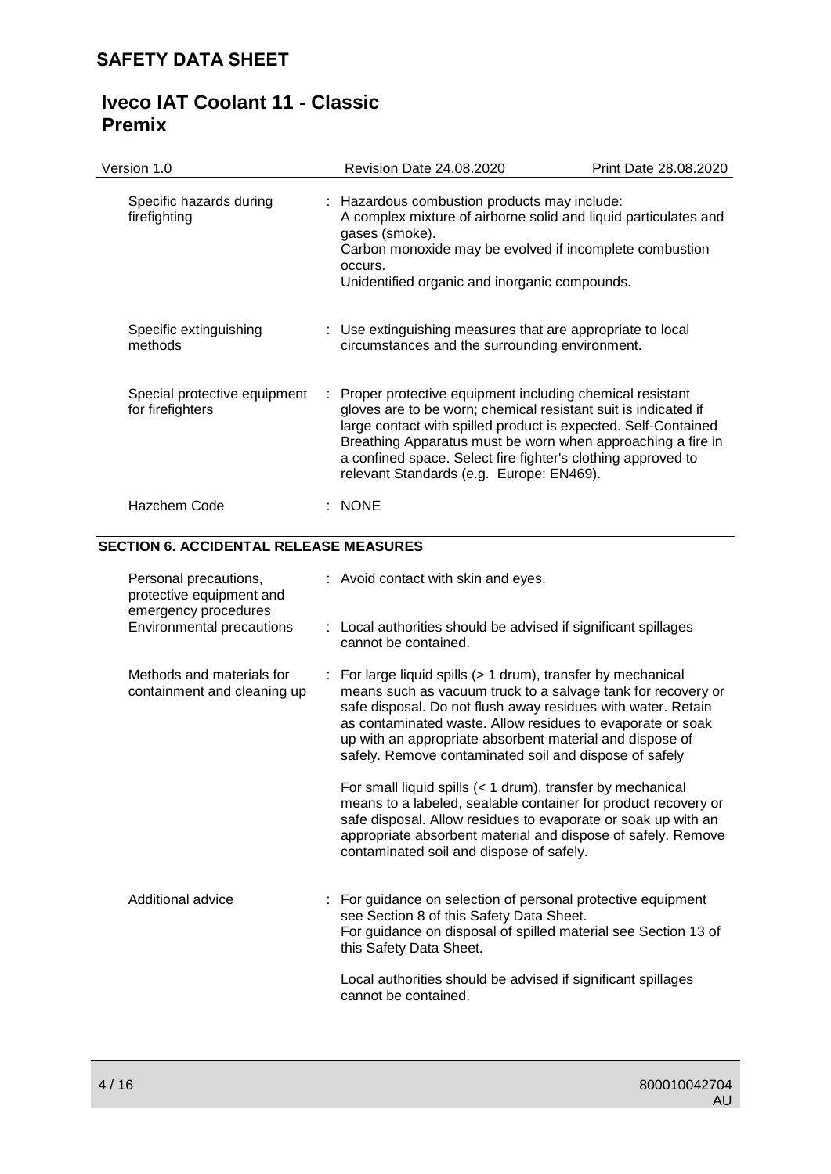| Version 1.0                                                                                                   |                                                                                                                                                                                                                                                                                                                                                                                                                                              | Revision Date 24.08.2020                                                                                                                                                                                                                                                                                                                                                | Print Date 28.08.2020 |
|---------------------------------------------------------------------------------------------------------------|----------------------------------------------------------------------------------------------------------------------------------------------------------------------------------------------------------------------------------------------------------------------------------------------------------------------------------------------------------------------------------------------------------------------------------------------|-------------------------------------------------------------------------------------------------------------------------------------------------------------------------------------------------------------------------------------------------------------------------------------------------------------------------------------------------------------------------|-----------------------|
| Specific hazards during<br>firefighting                                                                       |                                                                                                                                                                                                                                                                                                                                                                                                                                              | : Hazardous combustion products may include:<br>A complex mixture of airborne solid and liquid particulates and<br>gases (smoke).<br>Carbon monoxide may be evolved if incomplete combustion<br>occurs.<br>Unidentified organic and inorganic compounds.                                                                                                                |                       |
| Specific extinguishing<br>methods                                                                             |                                                                                                                                                                                                                                                                                                                                                                                                                                              | : Use extinguishing measures that are appropriate to local<br>circumstances and the surrounding environment.                                                                                                                                                                                                                                                            |                       |
| Special protective equipment<br>for firefighters                                                              |                                                                                                                                                                                                                                                                                                                                                                                                                                              | Proper protective equipment including chemical resistant<br>gloves are to be worn; chemical resistant suit is indicated if<br>large contact with spilled product is expected. Self-Contained<br>Breathing Apparatus must be worn when approaching a fire in<br>a confined space. Select fire fighter's clothing approved to<br>relevant Standards (e.g. Europe: EN469). |                       |
| Hazchem Code                                                                                                  |                                                                                                                                                                                                                                                                                                                                                                                                                                              | $:$ NONE                                                                                                                                                                                                                                                                                                                                                                |                       |
| <b>SECTION 6. ACCIDENTAL RELEASE MEASURES</b>                                                                 |                                                                                                                                                                                                                                                                                                                                                                                                                                              |                                                                                                                                                                                                                                                                                                                                                                         |                       |
| Personal precautions,<br>protective equipment and<br>emergency procedures<br><b>Environmental precautions</b> |                                                                                                                                                                                                                                                                                                                                                                                                                                              | : Avoid contact with skin and eyes.<br>: Local authorities should be advised if significant spillages<br>cannot be contained.                                                                                                                                                                                                                                           |                       |
| Methods and materials for<br>containment and cleaning up                                                      | For large liquid spills (> 1 drum), transfer by mechanical<br>means such as vacuum truck to a salvage tank for recovery or<br>safe disposal. Do not flush away residues with water. Retain<br>as contaminated waste. Allow residues to evaporate or soak<br>up with an appropriate absorbent material and dispose of<br>safely. Remove contaminated soil and dispose of safely<br>For small liquid spills (< 1 drum), transfer by mechanical |                                                                                                                                                                                                                                                                                                                                                                         |                       |
|                                                                                                               |                                                                                                                                                                                                                                                                                                                                                                                                                                              | means to a labeled, sealable container for product recovery or<br>safe disposal. Allow residues to evaporate or soak up with an<br>appropriate absorbent material and dispose of safely. Remove<br>contaminated soil and dispose of safely.                                                                                                                             |                       |
| Additional advice                                                                                             |                                                                                                                                                                                                                                                                                                                                                                                                                                              | : For guidance on selection of personal protective equipment<br>see Section 8 of this Safety Data Sheet.<br>For guidance on disposal of spilled material see Section 13 of<br>this Safety Data Sheet.                                                                                                                                                                   |                       |
|                                                                                                               |                                                                                                                                                                                                                                                                                                                                                                                                                                              | Local authorities should be advised if significant spillages<br>cannot be contained.                                                                                                                                                                                                                                                                                    |                       |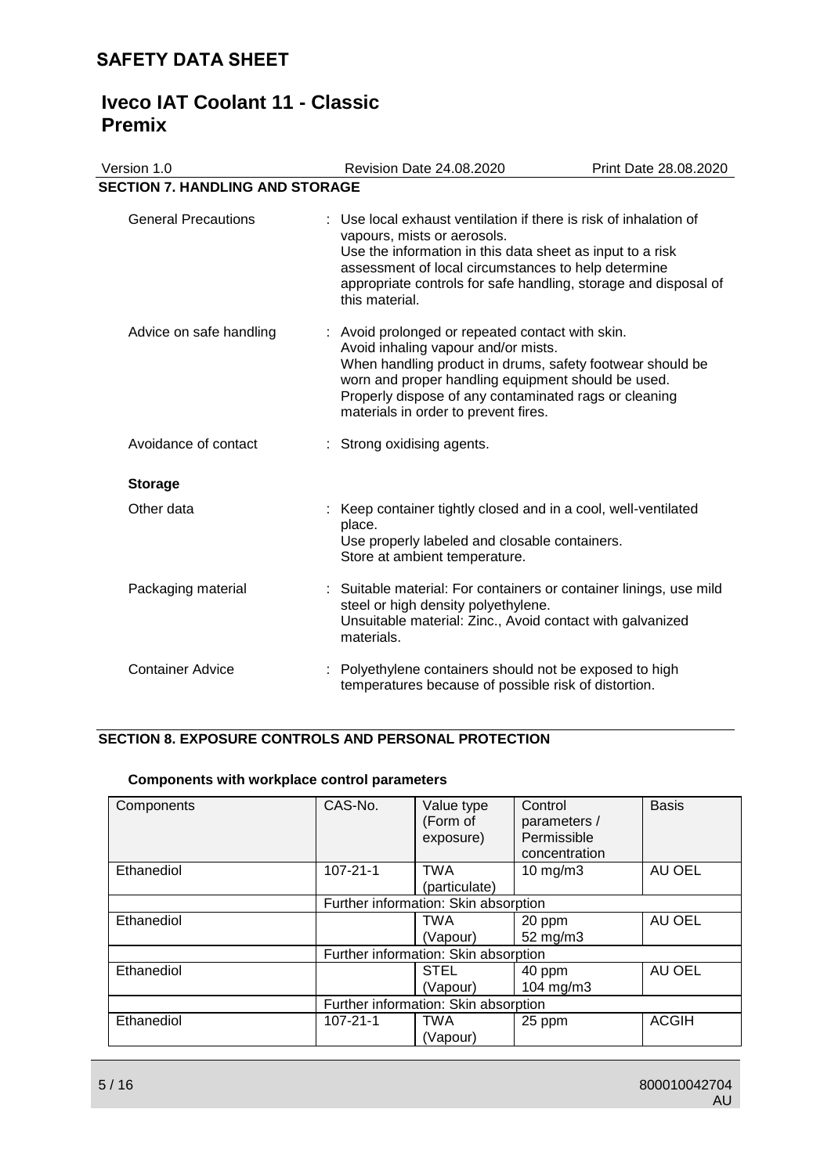# **Iveco IAT Coolant 11 - Classic Premix**

| Version 1.0                            | Revision Date 24.08.2020                                                                                                                                                                                                                                                                                    | Print Date 28.08.2020 |  |  |  |
|----------------------------------------|-------------------------------------------------------------------------------------------------------------------------------------------------------------------------------------------------------------------------------------------------------------------------------------------------------------|-----------------------|--|--|--|
| <b>SECTION 7. HANDLING AND STORAGE</b> |                                                                                                                                                                                                                                                                                                             |                       |  |  |  |
| <b>General Precautions</b>             | : Use local exhaust ventilation if there is risk of inhalation of<br>vapours, mists or aerosols.<br>Use the information in this data sheet as input to a risk<br>assessment of local circumstances to help determine<br>appropriate controls for safe handling, storage and disposal of<br>this material.   |                       |  |  |  |
| Advice on safe handling                | : Avoid prolonged or repeated contact with skin.<br>Avoid inhaling vapour and/or mists.<br>When handling product in drums, safety footwear should be<br>worn and proper handling equipment should be used.<br>Properly dispose of any contaminated rags or cleaning<br>materials in order to prevent fires. |                       |  |  |  |
| Avoidance of contact                   | : Strong oxidising agents.                                                                                                                                                                                                                                                                                  |                       |  |  |  |
| <b>Storage</b>                         |                                                                                                                                                                                                                                                                                                             |                       |  |  |  |
| Other data                             | : Keep container tightly closed and in a cool, well-ventilated<br>place.<br>Use properly labeled and closable containers.<br>Store at ambient temperature.                                                                                                                                                  |                       |  |  |  |
| Packaging material                     | : Suitable material: For containers or container linings, use mild<br>steel or high density polyethylene.<br>Unsuitable material: Zinc., Avoid contact with galvanized<br>materials.                                                                                                                        |                       |  |  |  |
| <b>Container Advice</b>                | : Polyethylene containers should not be exposed to high<br>temperatures because of possible risk of distortion.                                                                                                                                                                                             |                       |  |  |  |

## **SECTION 8. EXPOSURE CONTROLS AND PERSONAL PROTECTION**

## **Components with workplace control parameters**

| Components | CAS-No.                              | Value type                           | Control       | <b>Basis</b> |
|------------|--------------------------------------|--------------------------------------|---------------|--------------|
|            |                                      | (Form of                             | parameters /  |              |
|            |                                      | exposure)                            | Permissible   |              |
|            |                                      |                                      | concentration |              |
| Ethanediol | $107 - 21 - 1$                       | <b>TWA</b>                           | 10 mg/m3      | AU OEL       |
|            |                                      | (particulate)                        |               |              |
|            |                                      | Further information: Skin absorption |               |              |
| Ethanediol |                                      | <b>TWA</b>                           | 20 ppm        | AU OEL       |
|            |                                      | (Vapour)                             | 52 mg/m3      |              |
|            | Further information: Skin absorption |                                      |               |              |
| Ethanediol |                                      | <b>STEL</b>                          | 40 ppm        | AU OEL       |
|            |                                      | (Vapour)                             | 104 mg/m3     |              |
|            | Further information: Skin absorption |                                      |               |              |
| Ethanediol | $107 - 21 - 1$                       | <b>TWA</b>                           | 25 ppm        | <b>ACGIH</b> |
|            |                                      | (Vapour)                             |               |              |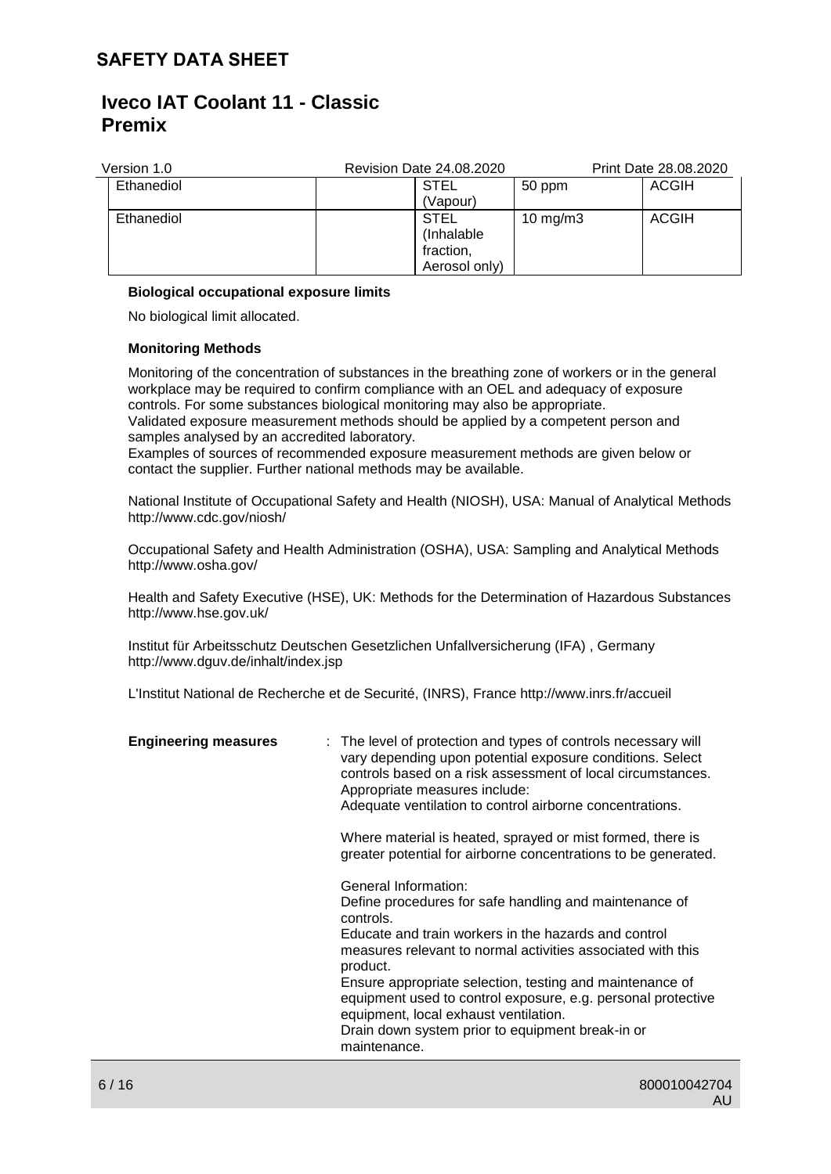## **Iveco IAT Coolant 11 - Classic Premix**

| Version 1.0 | <b>Revision Date 24.08.2020</b> |             | Print Date 28.08.2020 |
|-------------|---------------------------------|-------------|-----------------------|
| Ethanediol  | <b>STEL</b>                     | 50 ppm      | <b>ACGIH</b>          |
|             | (Vapour)                        |             |                       |
| Ethanediol  | <b>STEL</b>                     | 10 mg/m $3$ | <b>ACGIH</b>          |
|             | (Inhalable)                     |             |                       |
|             | fraction,                       |             |                       |
|             | Aerosol only)                   |             |                       |

### **Biological occupational exposure limits**

No biological limit allocated.

### **Monitoring Methods**

Monitoring of the concentration of substances in the breathing zone of workers or in the general workplace may be required to confirm compliance with an OEL and adequacy of exposure controls. For some substances biological monitoring may also be appropriate. Validated exposure measurement methods should be applied by a competent person and samples analysed by an accredited laboratory.

Examples of sources of recommended exposure measurement methods are given below or contact the supplier. Further national methods may be available.

National Institute of Occupational Safety and Health (NIOSH), USA: Manual of Analytical Methods http://www.cdc.gov/niosh/

Occupational Safety and Health Administration (OSHA), USA: Sampling and Analytical Methods http://www.osha.gov/

Health and Safety Executive (HSE), UK: Methods for the Determination of Hazardous Substances http://www.hse.gov.uk/

Institut für Arbeitsschutz Deutschen Gesetzlichen Unfallversicherung (IFA) , Germany http://www.dguv.de/inhalt/index.jsp

L'Institut National de Recherche et de Securité, (INRS), France http://www.inrs.fr/accueil

| <b>Engineering measures</b> | : The level of protection and types of controls necessary will<br>vary depending upon potential exposure conditions. Select<br>controls based on a risk assessment of local circumstances.<br>Appropriate measures include:<br>Adequate ventilation to control airborne concentrations.<br>Where material is heated, sprayed or mist formed, there is<br>greater potential for airborne concentrations to be generated.                                                 |
|-----------------------------|-------------------------------------------------------------------------------------------------------------------------------------------------------------------------------------------------------------------------------------------------------------------------------------------------------------------------------------------------------------------------------------------------------------------------------------------------------------------------|
|                             | General Information:<br>Define procedures for safe handling and maintenance of<br>controls.<br>Educate and train workers in the hazards and control<br>measures relevant to normal activities associated with this<br>product.<br>Ensure appropriate selection, testing and maintenance of<br>equipment used to control exposure, e.g. personal protective<br>equipment, local exhaust ventilation.<br>Drain down system prior to equipment break-in or<br>maintenance. |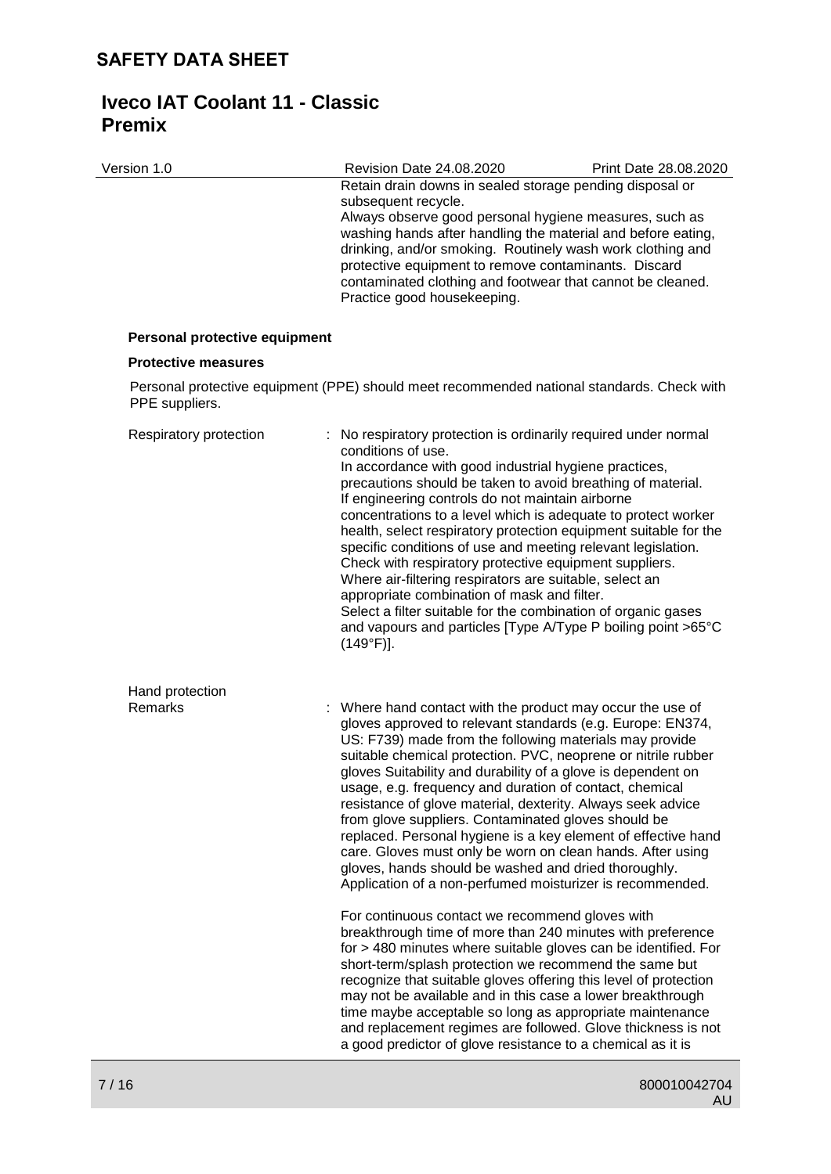Version 1.0 Revision Date 24.08.2020 Print Date 28.08.2020 Retain drain downs in sealed storage pending disposal or subsequent recycle. Always observe good personal hygiene measures, such as washing hands after handling the material and before eating, drinking, and/or smoking. Routinely wash work clothing and protective equipment to remove contaminants. Discard contaminated clothing and footwear that cannot be cleaned. Practice good housekeeping. **Personal protective equipment Protective measures** Personal protective equipment (PPE) should meet recommended national standards. Check with PPE suppliers. Respiratory protection : No respiratory protection is ordinarily required under normal conditions of use. In accordance with good industrial hygiene practices, precautions should be taken to avoid breathing of material. If engineering controls do not maintain airborne concentrations to a level which is adequate to protect worker health, select respiratory protection equipment suitable for the specific conditions of use and meeting relevant legislation. Check with respiratory protective equipment suppliers. Where air-filtering respirators are suitable, select an appropriate combination of mask and filter. Select a filter suitable for the combination of organic gases and vapours and particles [Type A/Type P boiling point >65°C (149°F)]. Hand protection<br>Remarks

: Where hand contact with the product may occur the use of gloves approved to relevant standards (e.g. Europe: EN374, US: F739) made from the following materials may provide suitable chemical protection. PVC, neoprene or nitrile rubber gloves Suitability and durability of a glove is dependent on usage, e.g. frequency and duration of contact, chemical resistance of glove material, dexterity. Always seek advice from glove suppliers. Contaminated gloves should be replaced. Personal hygiene is a key element of effective hand care. Gloves must only be worn on clean hands. After using gloves, hands should be washed and dried thoroughly. Application of a non-perfumed moisturizer is recommended. For continuous contact we recommend gloves with breakthrough time of more than 240 minutes with preference for > 480 minutes where suitable gloves can be identified. For short-term/splash protection we recommend the same but recognize that suitable gloves offering this level of protection may not be available and in this case a lower breakthrough

> time maybe acceptable so long as appropriate maintenance and replacement regimes are followed. Glove thickness is not a good predictor of glove resistance to a chemical as it is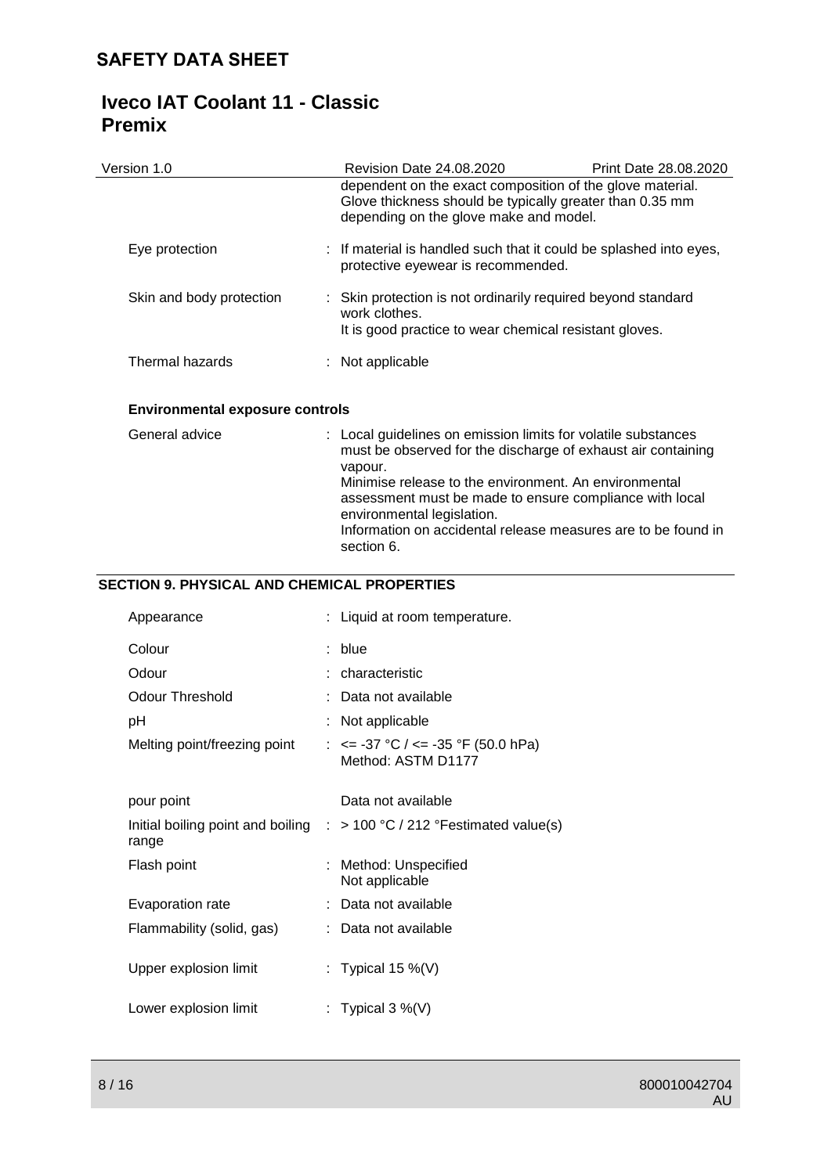| Version 1.0              | <b>Revision Date 24.08.2020</b>                                                                                                                                 | Print Date 28.08.2020 |
|--------------------------|-----------------------------------------------------------------------------------------------------------------------------------------------------------------|-----------------------|
|                          | dependent on the exact composition of the glove material.<br>Glove thickness should be typically greater than 0.35 mm<br>depending on the glove make and model. |                       |
| Eye protection           | : If material is handled such that it could be splashed into eyes,<br>protective eyewear is recommended.                                                        |                       |
| Skin and body protection | : Skin protection is not ordinarily required beyond standard<br>work clothes.<br>It is good practice to wear chemical resistant gloves.                         |                       |
| Thermal hazards          | $:$ Not applicable                                                                                                                                              |                       |
|                          |                                                                                                                                                                 |                       |

## **Environmental exposure controls**

| General advice | : Local guidelines on emission limits for volatile substances<br>must be observed for the discharge of exhaust air containing<br>vapour.<br>Minimise release to the environment. An environmental<br>assessment must be made to ensure compliance with local<br>environmental legislation.<br>Information on accidental release measures are to be found in<br>section 6. |
|----------------|---------------------------------------------------------------------------------------------------------------------------------------------------------------------------------------------------------------------------------------------------------------------------------------------------------------------------------------------------------------------------|
|----------------|---------------------------------------------------------------------------------------------------------------------------------------------------------------------------------------------------------------------------------------------------------------------------------------------------------------------------------------------------------------------------|

## **SECTION 9. PHYSICAL AND CHEMICAL PROPERTIES**

| Appearance                   | : Liquid at room temperature.                                                       |
|------------------------------|-------------------------------------------------------------------------------------|
| Colour                       | blue                                                                                |
| Odour                        | : characteristic                                                                    |
| Odour Threshold              | Data not available                                                                  |
| рH                           | Not applicable                                                                      |
| Melting point/freezing point | : $\le$ -37 °C / $\le$ -35 °F (50.0 hPa)<br>Method: ASTM D1177                      |
| pour point                   | Data not available                                                                  |
| range                        | Initial boiling point and boiling $\therefore$ > 100 °C / 212 ° Festimated value(s) |
| Flash point                  | Method: Unspecified<br>Not applicable                                               |
| Evaporation rate             | : Data not available                                                                |
| Flammability (solid, gas)    | : Data not available                                                                |
| Upper explosion limit        | : Typical 15 %(V)                                                                   |
| Lower explosion limit        | : Typical 3 %(V)                                                                    |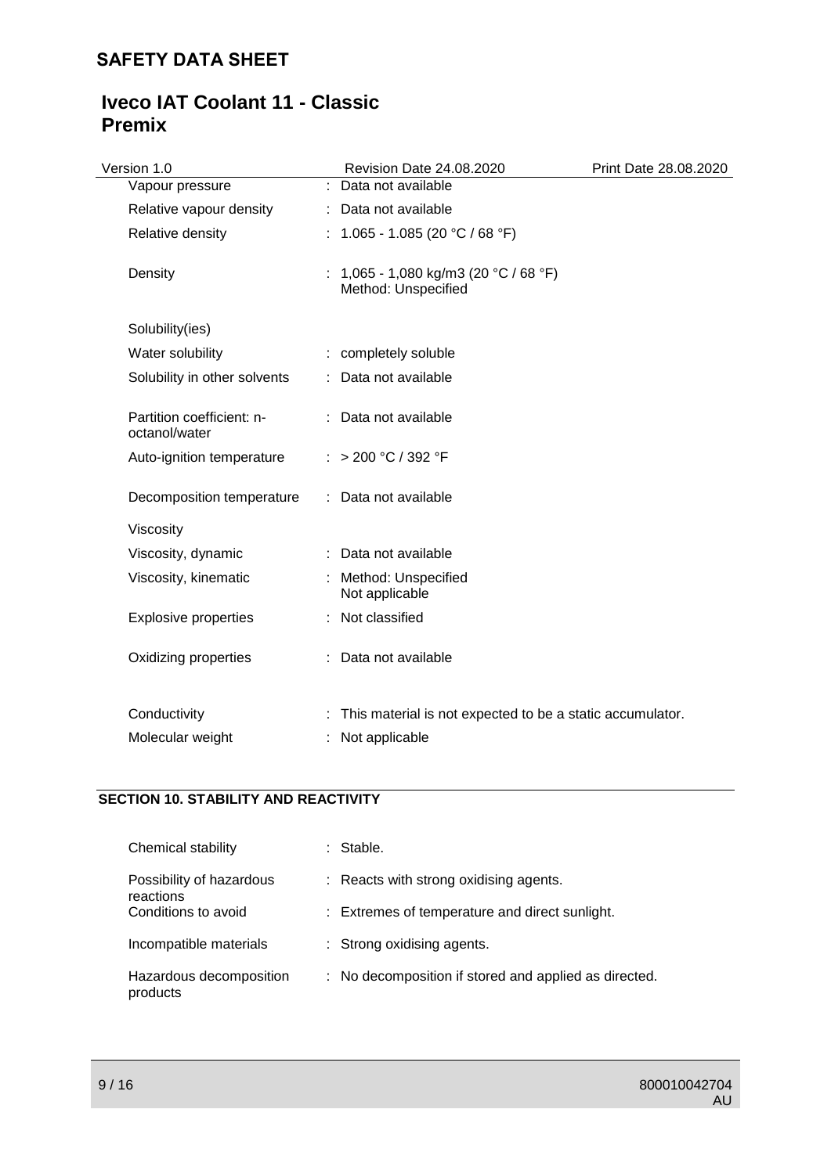# **Iveco IAT Coolant 11 - Classic Premix**

| Version 1.0                                | Revision Date 24.08.2020                                   | Print Date 28.08.2020 |
|--------------------------------------------|------------------------------------------------------------|-----------------------|
| Vapour pressure                            | : Data not available                                       |                       |
| Relative vapour density                    | : Data not available                                       |                       |
| Relative density                           | : $1.065 - 1.085(20 °C / 68 °F)$                           |                       |
| Density                                    | 1,065 - 1,080 kg/m3 (20 °C / 68 °F)<br>Method: Unspecified |                       |
| Solubility(ies)                            |                                                            |                       |
| Water solubility                           | : completely soluble                                       |                       |
| Solubility in other solvents               | : Data not available                                       |                       |
| Partition coefficient: n-<br>octanol/water | : Data not available                                       |                       |
| Auto-ignition temperature                  | : > 200 °C / 392 °F                                        |                       |
| Decomposition temperature                  | : Data not available                                       |                       |
| Viscosity                                  |                                                            |                       |
| Viscosity, dynamic                         | : Data not available                                       |                       |
| Viscosity, kinematic                       | Method: Unspecified<br>Not applicable                      |                       |
| <b>Explosive properties</b>                | : Not classified                                           |                       |
| Oxidizing properties                       | : Data not available                                       |                       |
| Conductivity                               | This material is not expected to be a static accumulator.  |                       |
| Molecular weight                           | Not applicable                                             |                       |

## **SECTION 10. STABILITY AND REACTIVITY**

| Chemical stability                    | : Stable.                                             |
|---------------------------------------|-------------------------------------------------------|
| Possibility of hazardous<br>reactions | : Reacts with strong oxidising agents.                |
| Conditions to avoid                   | : Extremes of temperature and direct sunlight.        |
| Incompatible materials                | : Strong oxidising agents.                            |
| Hazardous decomposition<br>products   | : No decomposition if stored and applied as directed. |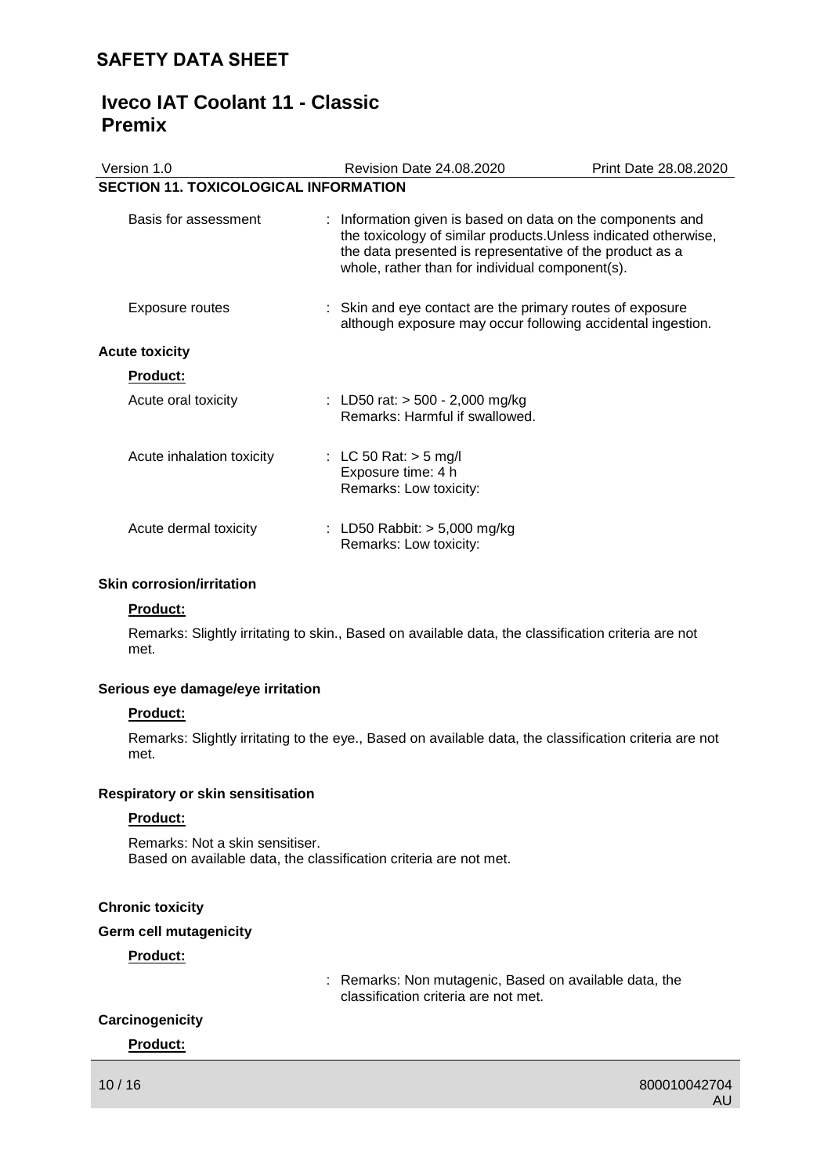# **Iveco IAT Coolant 11 - Classic Premix**

| Version 1.0                                  |  | Revision Date 24.08.2020                                                                                                                                                                                                                     | Print Date 28.08.2020 |
|----------------------------------------------|--|----------------------------------------------------------------------------------------------------------------------------------------------------------------------------------------------------------------------------------------------|-----------------------|
| <b>SECTION 11. TOXICOLOGICAL INFORMATION</b> |  |                                                                                                                                                                                                                                              |                       |
| Basis for assessment                         |  | : Information given is based on data on the components and<br>the toxicology of similar products. Unless indicated otherwise,<br>the data presented is representative of the product as a<br>whole, rather than for individual component(s). |                       |
| Exposure routes                              |  | : Skin and eye contact are the primary routes of exposure<br>although exposure may occur following accidental ingestion.                                                                                                                     |                       |
| <b>Acute toxicity</b>                        |  |                                                                                                                                                                                                                                              |                       |
| Product:                                     |  |                                                                                                                                                                                                                                              |                       |
| Acute oral toxicity                          |  | : LD50 rat: $> 500 - 2,000$ mg/kg<br>Remarks: Harmful if swallowed.                                                                                                                                                                          |                       |
| Acute inhalation toxicity                    |  | : LC 50 Rat: $>$ 5 mg/l<br>Exposure time: 4 h<br>Remarks: Low toxicity:                                                                                                                                                                      |                       |
| Acute dermal toxicity                        |  | : LD50 Rabbit: $> 5,000$ mg/kg<br>Remarks: Low toxicity:                                                                                                                                                                                     |                       |

### **Skin corrosion/irritation**

### **Product:**

Remarks: Slightly irritating to skin., Based on available data, the classification criteria are not met.

### **Serious eye damage/eye irritation**

#### **Product:**

Remarks: Slightly irritating to the eye., Based on available data, the classification criteria are not met.

#### **Respiratory or skin sensitisation**

#### **Product:**

Remarks: Not a skin sensitiser. Based on available data, the classification criteria are not met.

#### **Chronic toxicity**

#### **Germ cell mutagenicity**

### **Product:**

: Remarks: Non mutagenic, Based on available data, the classification criteria are not met.

## **Carcinogenicity**

**Product:**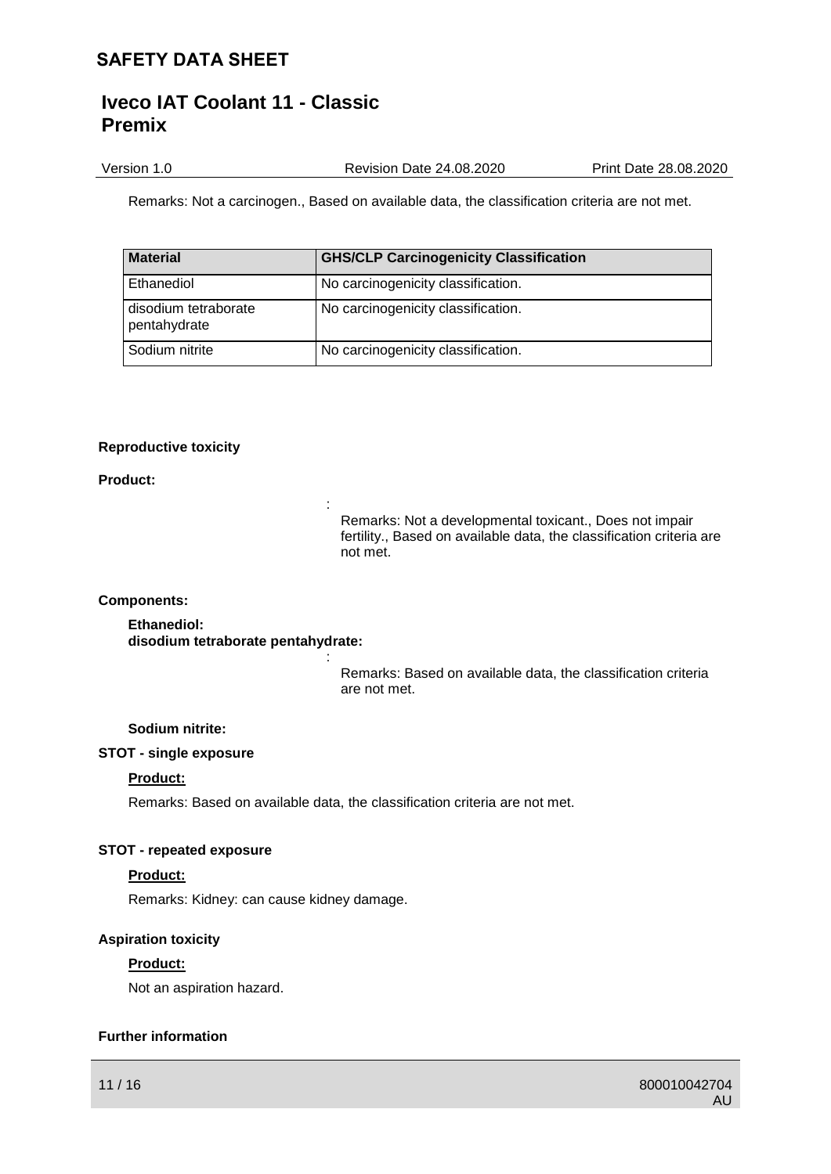Version 1.0 Revision Date 24.08.2020 Print Date 28.08.2020

Remarks: Not a carcinogen., Based on available data, the classification criteria are not met.

| <b>Material</b>                      | <b>GHS/CLP Carcinogenicity Classification</b> |
|--------------------------------------|-----------------------------------------------|
| Ethanediol                           | No carcinogenicity classification.            |
| disodium tetraborate<br>pentahydrate | No carcinogenicity classification.            |
| Sodium nitrite                       | No carcinogenicity classification.            |

### **Reproductive toxicity**

#### **Product:**

Remarks: Not a developmental toxicant., Does not impair fertility., Based on available data, the classification criteria are not met.

#### **Components:**

**Ethanediol: disodium tetraborate pentahydrate:**

> Remarks: Based on available data, the classification criteria are not met.

### **Sodium nitrite:**

#### **STOT - single exposure**

#### **Product:**

Remarks: Based on available data, the classification criteria are not met.

:

:

### **STOT - repeated exposure**

### **Product:**

Remarks: Kidney: can cause kidney damage.

### **Aspiration toxicity**

### **Product:**

Not an aspiration hazard.

### **Further information**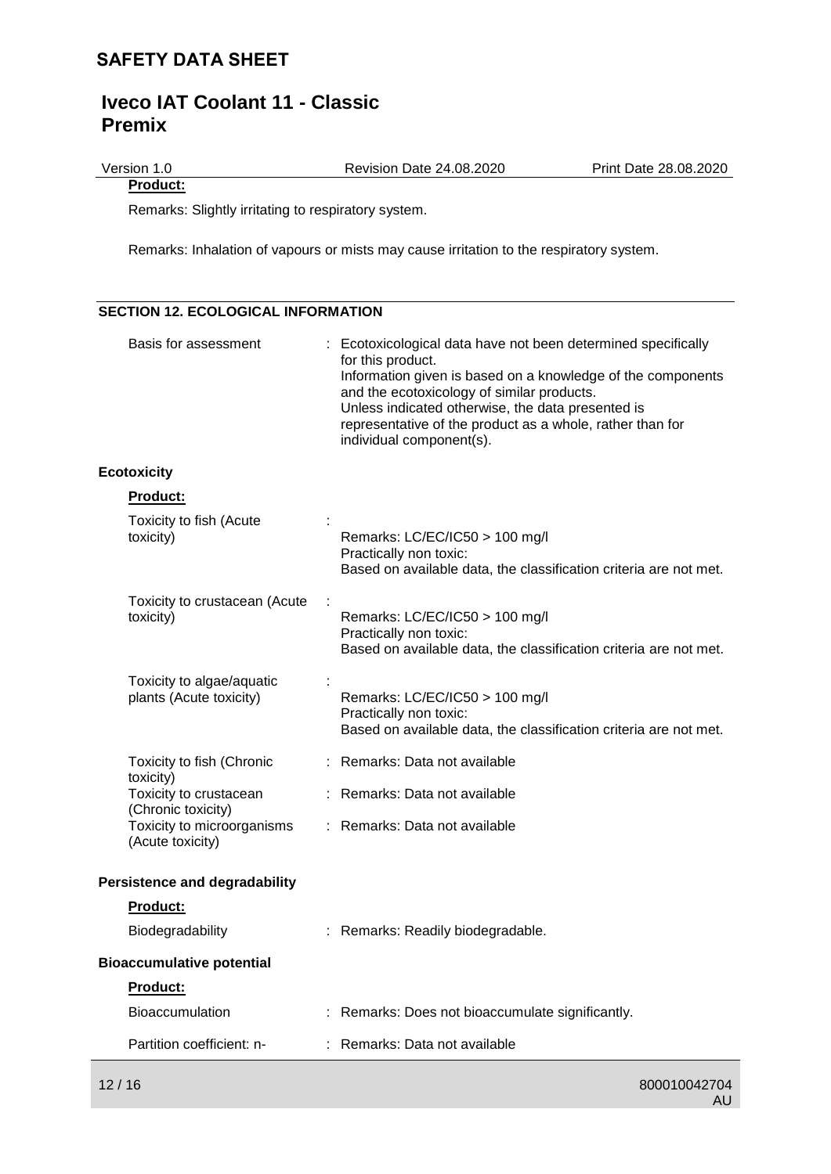Version 1.0 Revision Date 24.08.2020 Print Date 28.08.2020

**Product:**

Remarks: Slightly irritating to respiratory system.

Remarks: Inhalation of vapours or mists may cause irritation to the respiratory system.

## **SECTION 12. ECOLOGICAL INFORMATION**

| Basis for assessment                                 | : Ecotoxicological data have not been determined specifically<br>for this product.<br>Information given is based on a knowledge of the components<br>and the ecotoxicology of similar products.<br>Unless indicated otherwise, the data presented is<br>representative of the product as a whole, rather than for<br>individual component(s). |
|------------------------------------------------------|-----------------------------------------------------------------------------------------------------------------------------------------------------------------------------------------------------------------------------------------------------------------------------------------------------------------------------------------------|
| <b>Ecotoxicity</b>                                   |                                                                                                                                                                                                                                                                                                                                               |
| <b>Product:</b>                                      |                                                                                                                                                                                                                                                                                                                                               |
| Toxicity to fish (Acute<br>toxicity)                 | Remarks: LC/EC/IC50 > 100 mg/l<br>Practically non toxic:<br>Based on available data, the classification criteria are not met.                                                                                                                                                                                                                 |
| Toxicity to crustacean (Acute<br>toxicity)           | Remarks: LC/EC/IC50 > 100 mg/l<br>Practically non toxic:<br>Based on available data, the classification criteria are not met.                                                                                                                                                                                                                 |
| Toxicity to algae/aquatic<br>plants (Acute toxicity) | Remarks: LC/EC/IC50 > 100 mg/l<br>Practically non toxic:<br>Based on available data, the classification criteria are not met.                                                                                                                                                                                                                 |
| Toxicity to fish (Chronic<br>toxicity)               | : Remarks: Data not available                                                                                                                                                                                                                                                                                                                 |
| Toxicity to crustacean<br>(Chronic toxicity)         | : Remarks: Data not available                                                                                                                                                                                                                                                                                                                 |
| Toxicity to microorganisms<br>(Acute toxicity)       | : Remarks: Data not available                                                                                                                                                                                                                                                                                                                 |
| <b>Persistence and degradability</b>                 |                                                                                                                                                                                                                                                                                                                                               |
| <b>Product:</b>                                      |                                                                                                                                                                                                                                                                                                                                               |
| Biodegradability                                     | : Remarks: Readily biodegradable.                                                                                                                                                                                                                                                                                                             |
| <b>Bioaccumulative potential</b>                     |                                                                                                                                                                                                                                                                                                                                               |
| <b>Product:</b>                                      |                                                                                                                                                                                                                                                                                                                                               |
| <b>Bioaccumulation</b>                               | : Remarks: Does not bioaccumulate significantly.                                                                                                                                                                                                                                                                                              |
| Partition coefficient: n-                            | : Remarks: Data not available                                                                                                                                                                                                                                                                                                                 |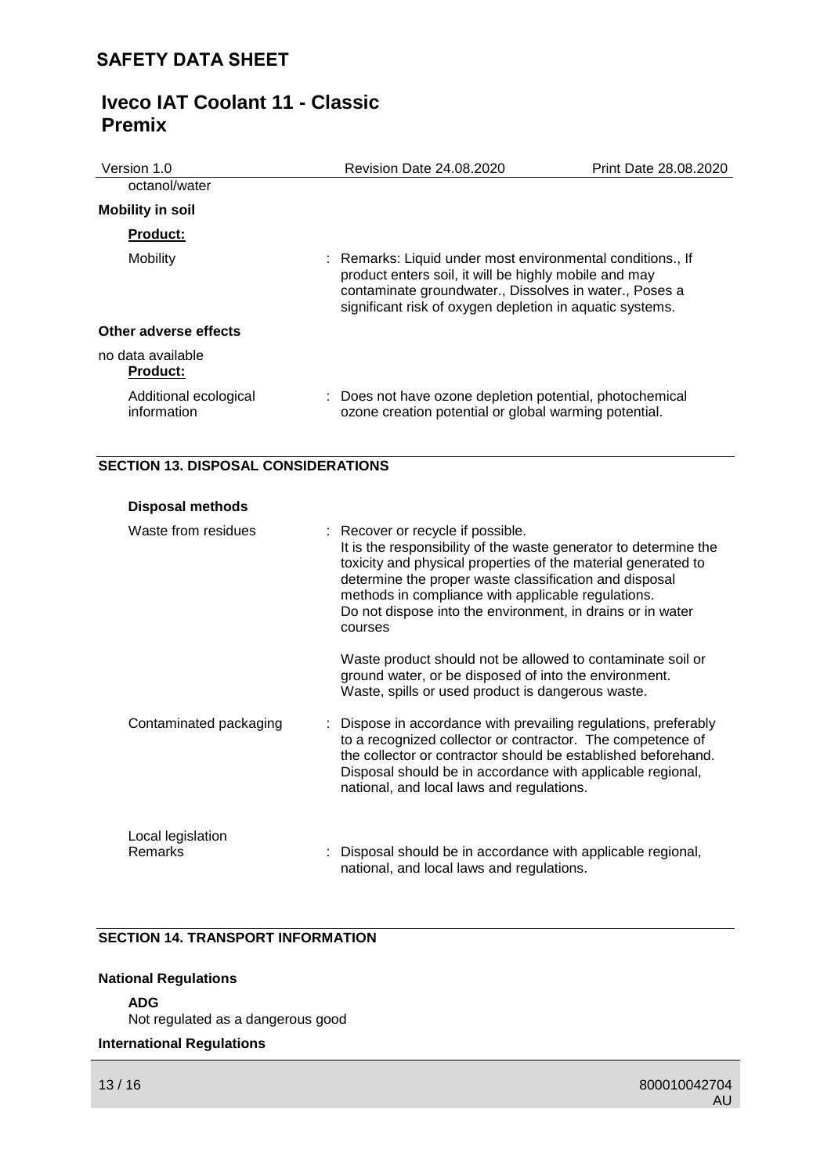| Version 1.0                          | Revision Date 24.08.2020                                                                                                                                                                                                                  | Print Date 28.08.2020 |
|--------------------------------------|-------------------------------------------------------------------------------------------------------------------------------------------------------------------------------------------------------------------------------------------|-----------------------|
| octanol/water                        |                                                                                                                                                                                                                                           |                       |
| <b>Mobility in soil</b>              |                                                                                                                                                                                                                                           |                       |
| <b>Product:</b>                      |                                                                                                                                                                                                                                           |                       |
| Mobility                             | : Remarks: Liquid under most environmental conditions., If<br>product enters soil, it will be highly mobile and may<br>contaminate groundwater., Dissolves in water., Poses a<br>significant risk of oxygen depletion in aquatic systems. |                       |
| Other adverse effects                |                                                                                                                                                                                                                                           |                       |
| no data available<br><b>Product:</b> |                                                                                                                                                                                                                                           |                       |
| Additional ecological<br>information | Does not have ozone depletion potential, photochemical<br>ozone creation potential or global warming potential.                                                                                                                           |                       |

## **SECTION 13. DISPOSAL CONSIDERATIONS**

| <b>Disposal methods</b>      |                                                                                                                                                                                                                                                                                                                                                                 |
|------------------------------|-----------------------------------------------------------------------------------------------------------------------------------------------------------------------------------------------------------------------------------------------------------------------------------------------------------------------------------------------------------------|
| Waste from residues          | : Recover or recycle if possible.<br>It is the responsibility of the waste generator to determine the<br>toxicity and physical properties of the material generated to<br>determine the proper waste classification and disposal<br>methods in compliance with applicable regulations.<br>Do not dispose into the environment, in drains or in water<br>courses |
|                              | Waste product should not be allowed to contaminate soil or<br>ground water, or be disposed of into the environment.<br>Waste, spills or used product is dangerous waste.                                                                                                                                                                                        |
| Contaminated packaging       | : Dispose in accordance with prevailing regulations, preferably<br>to a recognized collector or contractor. The competence of<br>the collector or contractor should be established beforehand.<br>Disposal should be in accordance with applicable regional,<br>national, and local laws and regulations.                                                       |
| Local legislation<br>Remarks | Disposal should be in accordance with applicable regional,<br>national, and local laws and regulations.                                                                                                                                                                                                                                                         |

## **SECTION 14. TRANSPORT INFORMATION**

## **National Regulations**

### **ADG**

Not regulated as a dangerous good

### **International Regulations**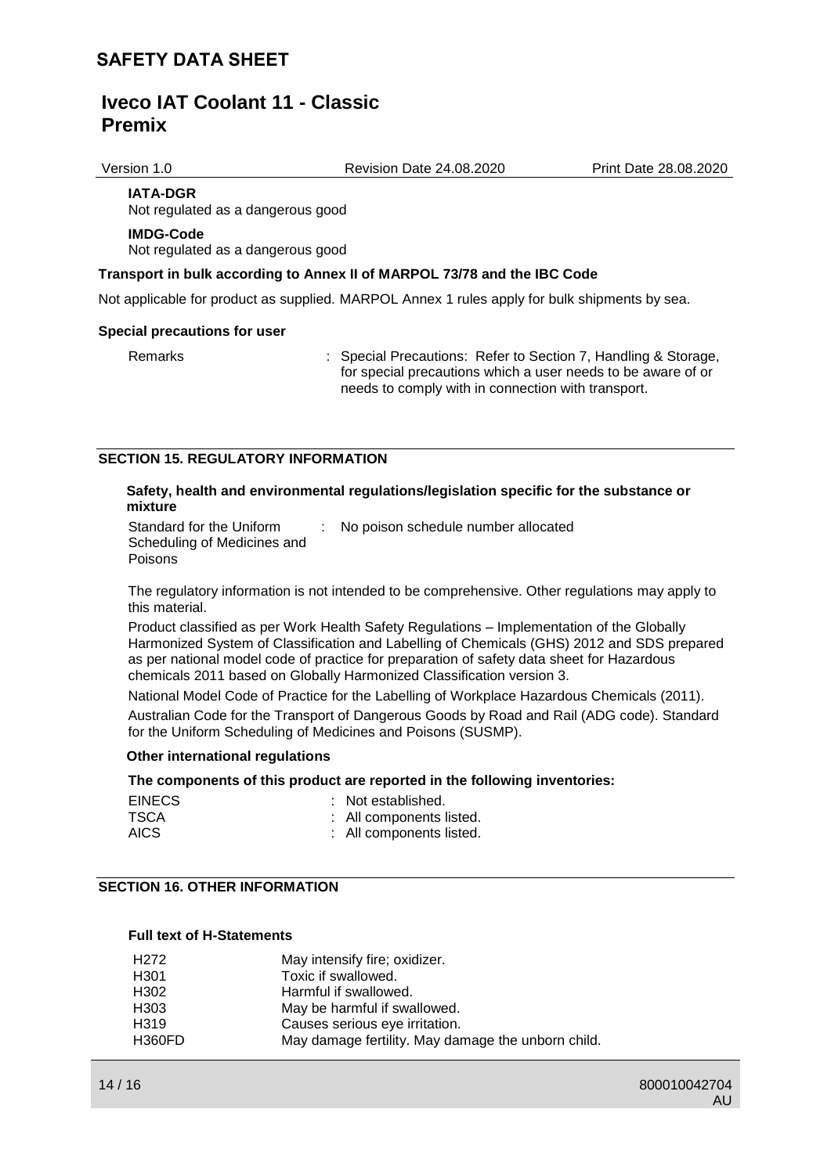Version 1.0 Revision Date 24.08.2020 Print Date 28.08.2020

**IATA-DGR** Not regulated as a dangerous good

## **IMDG-Code**

Not regulated as a dangerous good

### **Transport in bulk according to Annex II of MARPOL 73/78 and the IBC Code**

Not applicable for product as supplied. MARPOL Annex 1 rules apply for bulk shipments by sea.

#### **Special precautions for user**

Remarks : Special Precautions: Refer to Section 7, Handling & Storage, for special precautions which a user needs to be aware of or needs to comply with in connection with transport.

### **SECTION 15. REGULATORY INFORMATION**

#### **Safety, health and environmental regulations/legislation specific for the substance or mixture**

Standard for the Uniform Scheduling of Medicines and Poisons : No poison schedule number allocated

The regulatory information is not intended to be comprehensive. Other regulations may apply to this material.

Product classified as per Work Health Safety Regulations – Implementation of the Globally Harmonized System of Classification and Labelling of Chemicals (GHS) 2012 and SDS prepared as per national model code of practice for preparation of safety data sheet for Hazardous chemicals 2011 based on Globally Harmonized Classification version 3.

National Model Code of Practice for the Labelling of Workplace Hazardous Chemicals (2011).

Australian Code for the Transport of Dangerous Goods by Road and Rail (ADG code). Standard for the Uniform Scheduling of Medicines and Poisons (SUSMP).

### **Other international regulations**

### **The components of this product are reported in the following inventories:**

| <b>EINECS</b> | : Not established.       |
|---------------|--------------------------|
| TSCA          | : All components listed. |
| AICS.         | : All components listed. |

### **SECTION 16. OTHER INFORMATION**

#### **Full text of H-Statements**

| H <sub>272</sub> | May intensify fire; oxidizer.                      |
|------------------|----------------------------------------------------|
| H301             | Toxic if swallowed.                                |
| H302             | Harmful if swallowed.                              |
| H303             | May be harmful if swallowed.                       |
| H319             | Causes serious eye irritation.                     |
| <b>H360FD</b>    | May damage fertility. May damage the unborn child. |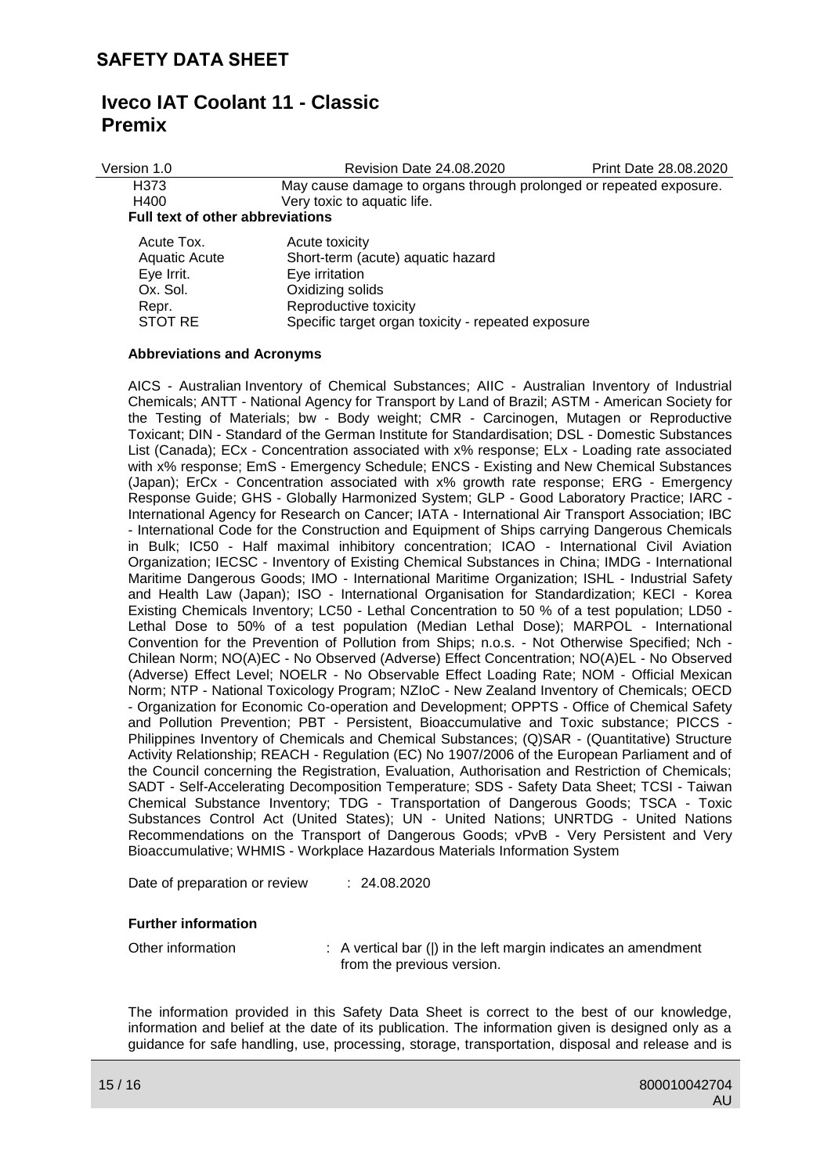| Version 1.0                             | Revision Date 24.08.2020                                           | Print Date 28.08.2020 |  |  |  |  |
|-----------------------------------------|--------------------------------------------------------------------|-----------------------|--|--|--|--|
| H373                                    | May cause damage to organs through prolonged or repeated exposure. |                       |  |  |  |  |
| H400                                    | Very toxic to aquatic life.                                        |                       |  |  |  |  |
| <b>Full text of other abbreviations</b> |                                                                    |                       |  |  |  |  |
| Acute Tox.                              | Acute toxicity                                                     |                       |  |  |  |  |
| Aquatic Acute                           | Short-term (acute) aquatic hazard                                  |                       |  |  |  |  |
| Eye Irrit.                              | Eye irritation                                                     |                       |  |  |  |  |
| Ox. Sol.                                | Oxidizing solids                                                   |                       |  |  |  |  |
| Repr.                                   | Reproductive toxicity                                              |                       |  |  |  |  |

STOT RE Specific target organ toxicity - repeated exposure

### **Abbreviations and Acronyms**

AICS - Australian Inventory of Chemical Substances; AIIC - Australian Inventory of Industrial Chemicals; ANTT - National Agency for Transport by Land of Brazil; ASTM - American Society for the Testing of Materials; bw - Body weight; CMR - Carcinogen, Mutagen or Reproductive Toxicant; DIN - Standard of the German Institute for Standardisation; DSL - Domestic Substances List (Canada); ECx - Concentration associated with x% response; ELx - Loading rate associated with x% response; EmS - Emergency Schedule; ENCS - Existing and New Chemical Substances (Japan); ErCx - Concentration associated with x% growth rate response; ERG - Emergency Response Guide; GHS - Globally Harmonized System; GLP - Good Laboratory Practice; IARC - International Agency for Research on Cancer; IATA - International Air Transport Association; IBC - International Code for the Construction and Equipment of Ships carrying Dangerous Chemicals in Bulk; IC50 - Half maximal inhibitory concentration; ICAO - International Civil Aviation Organization; IECSC - Inventory of Existing Chemical Substances in China; IMDG - International Maritime Dangerous Goods; IMO - International Maritime Organization; ISHL - Industrial Safety and Health Law (Japan); ISO - International Organisation for Standardization; KECI - Korea Existing Chemicals Inventory; LC50 - Lethal Concentration to 50 % of a test population; LD50 - Lethal Dose to 50% of a test population (Median Lethal Dose); MARPOL - International Convention for the Prevention of Pollution from Ships; n.o.s. - Not Otherwise Specified; Nch - Chilean Norm; NO(A)EC - No Observed (Adverse) Effect Concentration; NO(A)EL - No Observed (Adverse) Effect Level; NOELR - No Observable Effect Loading Rate; NOM - Official Mexican Norm; NTP - National Toxicology Program; NZIoC - New Zealand Inventory of Chemicals; OECD - Organization for Economic Co-operation and Development; OPPTS - Office of Chemical Safety and Pollution Prevention; PBT - Persistent, Bioaccumulative and Toxic substance; PICCS - Philippines Inventory of Chemicals and Chemical Substances; (Q)SAR - (Quantitative) Structure Activity Relationship; REACH - Regulation (EC) No 1907/2006 of the European Parliament and of the Council concerning the Registration, Evaluation, Authorisation and Restriction of Chemicals; SADT - Self-Accelerating Decomposition Temperature; SDS - Safety Data Sheet; TCSI - Taiwan Chemical Substance Inventory; TDG - Transportation of Dangerous Goods; TSCA - Toxic Substances Control Act (United States); UN - United Nations; UNRTDG - United Nations Recommendations on the Transport of Dangerous Goods; vPvB - Very Persistent and Very Bioaccumulative; WHMIS - Workplace Hazardous Materials Information System

Date of preparation or review : 24.08.2020

#### **Further information**

Other information : A vertical bar (|) in the left margin indicates an amendment from the previous version.

The information provided in this Safety Data Sheet is correct to the best of our knowledge, information and belief at the date of its publication. The information given is designed only as a guidance for safe handling, use, processing, storage, transportation, disposal and release and is